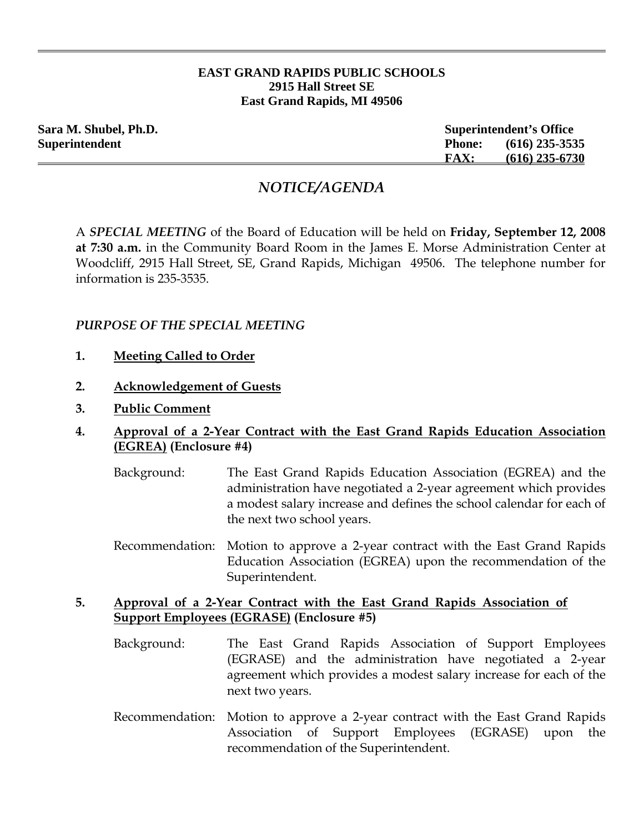#### **EAST GRAND RAPIDS PUBLIC SCHOOLS 2915 Hall Street SE East Grand Rapids, MI 49506**

| Sara M. Shubel, Ph.D. |               | <b>Superintendent's Office</b> |  |
|-----------------------|---------------|--------------------------------|--|
| Superintendent        | <b>Phone:</b> | $(616)$ 235-3535               |  |
|                       | <b>FAX:</b>   | $(616)$ 235-6730               |  |

# *NOTICE/AGENDA*

A *SPECIAL MEETING* of the Board of Education will be held on **Friday, September 12, 2008 at 7:30 a.m.** in the Community Board Room in the James E. Morse Administration Center at Woodcliff, 2915 Hall Street, SE, Grand Rapids, Michigan 49506. The telephone number for information is 235-3535.

#### *PURPOSE OF THE SPECIAL MEETING*

- **1. Meeting Called to Order**
- **2. Acknowledgement of Guests**
- **3. Public Comment**
- **4. Approval of a 2-Year Contract with the East Grand Rapids Education Association (EGREA) (Enclosure #4)** 
	- Background: The East Grand Rapids Education Association (EGREA) and the administration have negotiated a 2-year agreement which provides a modest salary increase and defines the school calendar for each of the next two school years.
	- Recommendation: Motion to approve a 2-year contract with the East Grand Rapids Education Association (EGREA) upon the recommendation of the Superintendent.

### **5. Approval of a 2-Year Contract with the East Grand Rapids Association of Support Employees (EGRASE) (Enclosure #5)**

- Background: The East Grand Rapids Association of Support Employees (EGRASE) and the administration have negotiated a 2-year agreement which provides a modest salary increase for each of the next two years.
- Recommendation: Motion to approve a 2-year contract with the East Grand Rapids Association of Support Employees (EGRASE) upon the recommendation of the Superintendent.